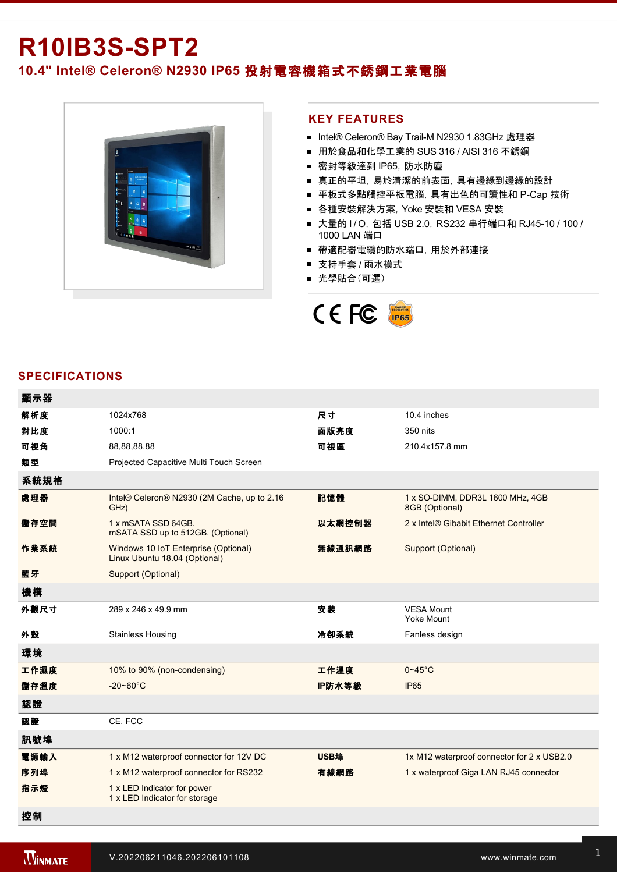# **R10IB3S-SPT2**

# **10.4" Intel® Celeron® N2930 IP65** 投射電容機箱式不銹鋼工業電腦



### **KEY FEATURES**

- Intel® Celeron® Bay Trail-M N2930 1.83GHz 處理器
- 用於食品和化學工業的 SUS 316 / AISI 316 不銹鋼
- 密封等級達到 IP65, 防水防塵
- 真正的平坦, 易於清潔的前表面, 具有邊緣到邊緣的設計
- 平板式多點觸控平板電腦, 具有出色的可讀性和 P-Cap 技術
- 各種安裝解決方案,Yoke 安裝和 VESA 安裝
- 大量的 I/O, 包括 USB 2.0, RS232 串行端口和 RJ45-10 / 100 / 1000 LAN 端口
- 帶適配器電纜的防水端口, 用於外部連接
- 支持手套 / 雨水模式
- 光學貼合(可選)



#### **SPECIFICATIONS**

| 顯示器  |                                                                       |        |                                                    |
|------|-----------------------------------------------------------------------|--------|----------------------------------------------------|
| 解析度  | 1024x768                                                              | 尺寸     | 10.4 inches                                        |
| 對比度  | 1000:1                                                                | 面版亮度   | 350 nits                                           |
| 可視角  | 88,88,88,88                                                           | 可視區    | 210.4x157.8 mm                                     |
| 類型   | Projected Capacitive Multi Touch Screen                               |        |                                                    |
| 系統規格 |                                                                       |        |                                                    |
| 處理器  | Intel® Celeron® N2930 (2M Cache, up to 2.16<br>GHz)                   | 記憶體    | 1 x SO-DIMM, DDR3L 1600 MHz, 4GB<br>8GB (Optional) |
| 儲存空間 | 1 x mSATA SSD 64GB.<br>mSATA SSD up to 512GB. (Optional)              | 以太網控制器 | 2 x Intel® Gibabit Ethernet Controller             |
| 作業系統 | Windows 10 IoT Enterprise (Optional)<br>Linux Ubuntu 18.04 (Optional) | 無線通訊網路 | Support (Optional)                                 |
| 藍牙   | Support (Optional)                                                    |        |                                                    |
| 機構   |                                                                       |        |                                                    |
| 外觀尺寸 | 289 x 246 x 49.9 mm                                                   | 安裝     | <b>VESA Mount</b><br><b>Yoke Mount</b>             |
| 外殼   | <b>Stainless Housing</b>                                              | 冷卻系統   | Fanless design                                     |
| 環境   |                                                                       |        |                                                    |
| 工作濕度 | 10% to 90% (non-condensing)                                           | 工作溫度   | $0 - 45$ °C                                        |
| 儲存溫度 | $-20 - 60^{\circ}C$                                                   | IP防水等級 | <b>IP65</b>                                        |
| 認證   |                                                                       |        |                                                    |
| 認證   | CE, FCC                                                               |        |                                                    |
| 訊號埠  |                                                                       |        |                                                    |
| 電源輸入 | 1 x M12 waterproof connector for 12V DC                               | USB埠   | 1x M12 waterproof connector for 2 x USB2.0         |
| 序列埠  | 1 x M12 waterproof connector for RS232                                | 有線網路   | 1 x waterproof Giga LAN RJ45 connector             |
| 指示燈  | 1 x LED Indicator for power<br>1 x LED Indicator for storage          |        |                                                    |
| 控制   |                                                                       |        |                                                    |

1 x Reset Button